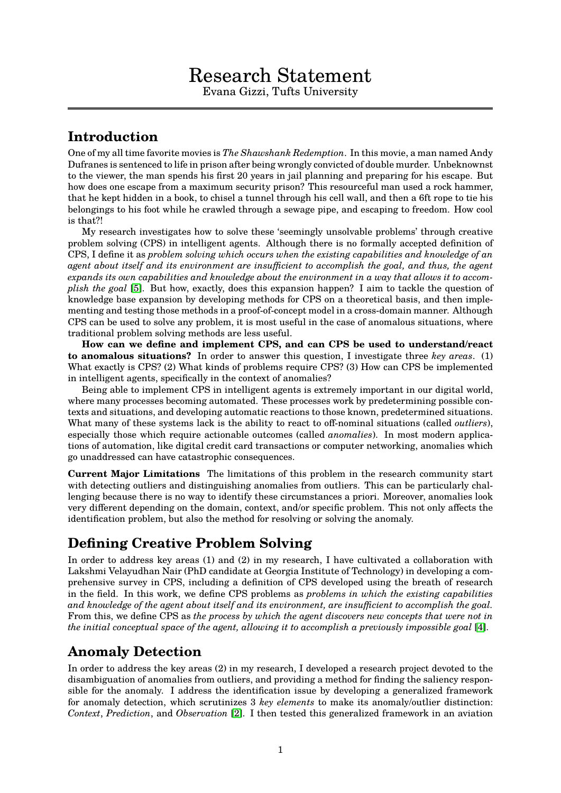## **Introduction**

One of my all time favorite movies is *The Shawshank Redemption*. In this movie, a man named Andy Dufranes is sentenced to life in prison after being wrongly convicted of double murder. Unbeknownst to the viewer, the man spends his first 20 years in jail planning and preparing for his escape. But how does one escape from a maximum security prison? This resourceful man used a rock hammer, that he kept hidden in a book, to chisel a tunnel through his cell wall, and then a 6ft rope to tie his belongings to his foot while he crawled through a sewage pipe, and escaping to freedom. How cool is that?!

My research investigates how to solve these 'seemingly unsolvable problems' through creative problem solving (CPS) in intelligent agents. Although there is no formally accepted definition of CPS, I define it as *problem solving which occurs when the existing capabilities and knowledge of an agent about itself and its environment are insufficient to accomplish the goal, and thus, the agent expands its own capabilities and knowledge about the environment in a way that allows it to accomplish the goal* [\[5\]](#page-1-0). But how, exactly, does this expansion happen? I aim to tackle the question of knowledge base expansion by developing methods for CPS on a theoretical basis, and then implementing and testing those methods in a proof-of-concept model in a cross-domain manner. Although CPS can be used to solve any problem, it is most useful in the case of anomalous situations, where traditional problem solving methods are less useful.

**How can we define and implement CPS, and can CPS be used to understand/react to anomalous situations?** In order to answer this question, I investigate three *key areas*. (1) What exactly is CPS? (2) What kinds of problems require CPS? (3) How can CPS be implemented in intelligent agents, specifically in the context of anomalies?

Being able to implement CPS in intelligent agents is extremely important in our digital world, where many processes becoming automated. These processes work by predetermining possible contexts and situations, and developing automatic reactions to those known, predetermined situations. What many of these systems lack is the ability to react to off-nominal situations (called *outliers*), especially those which require actionable outcomes (called *anomalies*). In most modern applications of automation, like digital credit card transactions or computer networking, anomalies which go unaddressed can have catastrophic consequences.

**Current Major Limitations** The limitations of this problem in the research community start with detecting outliers and distinguishing anomalies from outliers. This can be particularly challenging because there is no way to identify these circumstances a priori. Moreover, anomalies look very different depending on the domain, context, and/or specific problem. This not only affects the identification problem, but also the method for resolving or solving the anomaly.

# **Defining Creative Problem Solving**

In order to address key areas (1) and (2) in my research, I have cultivated a collaboration with Lakshmi Velayudhan Nair (PhD candidate at Georgia Institute of Technology) in developing a comprehensive survey in CPS, including a definition of CPS developed using the breath of research in the field. In this work, we define CPS problems as *problems in which the existing capabilities and knowledge of the agent about itself and its environment, are insufficient to accomplish the goal.* From this, we define CPS as *the process by which the agent discovers new concepts that were not in the initial conceptual space of the agent, allowing it to accomplish a previously impossible goal* [\[4\]](#page-1-1).

# **Anomaly Detection**

In order to address the key areas (2) in my research, I developed a research project devoted to the disambiguation of anomalies from outliers, and providing a method for finding the saliency responsible for the anomaly. I address the identification issue by developing a generalized framework for anomaly detection, which scrutinizes 3 *key elements* to make its anomaly/outlier distinction: *Context*, *Prediction*, and *Observation* [\[2\]](#page-1-2). I then tested this generalized framework in an aviation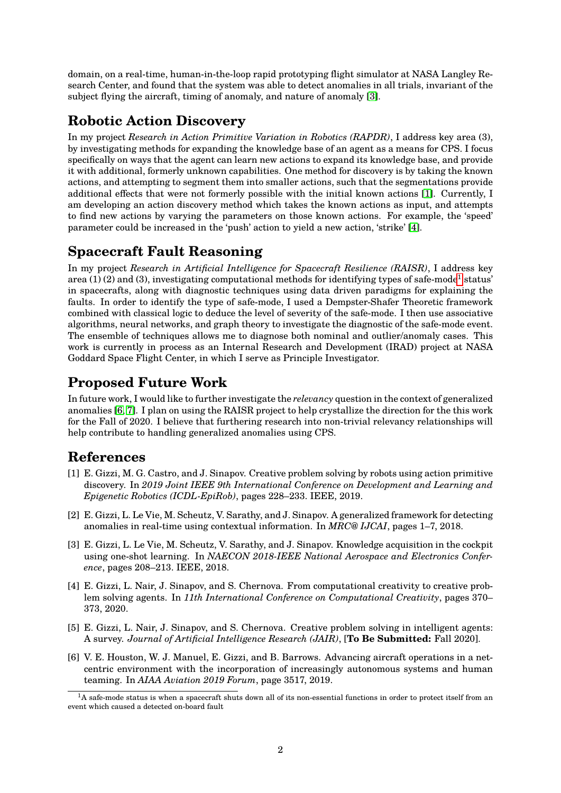domain, on a real-time, human-in-the-loop rapid prototyping flight simulator at NASA Langley Research Center, and found that the system was able to detect anomalies in all trials, invariant of the subject flying the aircraft, timing of anomaly, and nature of anomaly [\[3\]](#page-1-3).

## **Robotic Action Discovery**

In my project *Research in Action Primitive Variation in Robotics (RAPDR)*, I address key area (3), by investigating methods for expanding the knowledge base of an agent as a means for CPS. I focus specifically on ways that the agent can learn new actions to expand its knowledge base, and provide it with additional, formerly unknown capabilities. One method for discovery is by taking the known actions, and attempting to segment them into smaller actions, such that the segmentations provide additional effects that were not formerly possible with the initial known actions [\[1\]](#page-1-4). Currently, I am developing an action discovery method which takes the known actions as input, and attempts to find new actions by varying the parameters on those known actions. For example, the 'speed' parameter could be increased in the 'push' action to yield a new action, 'strike' [\[4\]](#page-1-1).

### **Spacecraft Fault Reasoning**

In my project *Research in Artificial Intelligence for Spacecraft Resilience (RAISR)*, I address key area ([1](#page-1-5)) (2) and (3), investigating computational methods for identifying types of safe-mode<sup>1</sup> status' in spacecrafts, along with diagnostic techniques using data driven paradigms for explaining the faults. In order to identify the type of safe-mode, I used a Dempster-Shafer Theoretic framework combined with classical logic to deduce the level of severity of the safe-mode. I then use associative algorithms, neural networks, and graph theory to investigate the diagnostic of the safe-mode event. The ensemble of techniques allows me to diagnose both nominal and outlier/anomaly cases. This work is currently in process as an Internal Research and Development (IRAD) project at NASA Goddard Space Flight Center, in which I serve as Principle Investigator.

# **Proposed Future Work**

In future work, I would like to further investigate the *relevancy* question in the context of generalized anomalies [\[6,](#page-1-6) [7\]](#page-2-0). I plan on using the RAISR project to help crystallize the direction for the this work for the Fall of 2020. I believe that furthering research into non-trivial relevancy relationships will help contribute to handling generalized anomalies using CPS.

#### **References**

- <span id="page-1-4"></span>[1] E. Gizzi, M. G. Castro, and J. Sinapov. Creative problem solving by robots using action primitive discovery. In *2019 Joint IEEE 9th International Conference on Development and Learning and Epigenetic Robotics (ICDL-EpiRob)*, pages 228–233. IEEE, 2019.
- <span id="page-1-2"></span>[2] E. Gizzi, L. Le Vie, M. Scheutz, V. Sarathy, and J. Sinapov. A generalized framework for detecting anomalies in real-time using contextual information. In *MRC@ IJCAI*, pages 1–7, 2018.
- <span id="page-1-3"></span>[3] E. Gizzi, L. Le Vie, M. Scheutz, V. Sarathy, and J. Sinapov. Knowledge acquisition in the cockpit using one-shot learning. In *NAECON 2018-IEEE National Aerospace and Electronics Conference*, pages 208–213. IEEE, 2018.
- <span id="page-1-1"></span>[4] E. Gizzi, L. Nair, J. Sinapov, and S. Chernova. From computational creativity to creative problem solving agents. In *11th International Conference on Computational Creativity*, pages 370– 373, 2020.
- <span id="page-1-0"></span>[5] E. Gizzi, L. Nair, J. Sinapov, and S. Chernova. Creative problem solving in intelligent agents: A survey. *Journal of Artificial Intelligence Research (JAIR)*, [**To Be Submitted:** Fall 2020].
- <span id="page-1-6"></span>[6] V. E. Houston, W. J. Manuel, E. Gizzi, and B. Barrows. Advancing aircraft operations in a netcentric environment with the incorporation of increasingly autonomous systems and human teaming. In *AIAA Aviation 2019 Forum*, page 3517, 2019.

<span id="page-1-5"></span> $1A$  safe-mode status is when a spacecraft shuts down all of its non-essential functions in order to protect itself from an event which caused a detected on-board fault